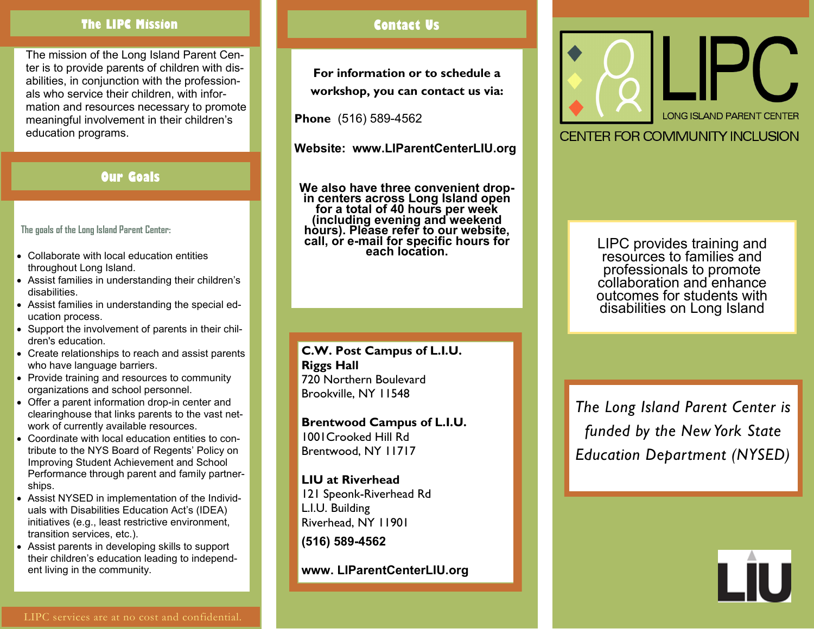### **The LIPC Mission Contact Us**

The mission of the Long Island Parent Center is to provide parents of children with disabilities, in conjunction with the professionals who service their children, with information and resources necessary to promote meaningful involvement in their children's education programs.

## **Our Goals**

**The goals of the Long Island Parent Center:**

- Collaborate with local education entities throughout Long Island.
- Assist families in understanding their children's disabilities.
- Assist families in understanding the special education process.
- Support the involvement of parents in their children's education.
- Create relationships to reach and assist parents who have language barriers.
- Provide training and resources to community organizations and school personnel.
- Offer a parent information drop-in center and clearinghouse that links parents to the vast network of currently available resources.
- Coordinate with local education entities to contribute to the NYS Board of Regents' Policy on Improving Student Achievement and School Performance through parent and family partnerships.
- Assist NYSED in implementation of the Individuals with Disabilities Education Act's (IDEA) initiatives (e.g., least restrictive environment, transition services, etc.).
- Assist parents in developing skills to support their children's education leading to independent living in the community.

**For information or to schedule a workshop, you can contact us via:**

**Phone** (516) 589-4562

**Website: www.LIParentCenterLIU.org**

**We also have three convenient dropin centers across Long Island open for a total of 40 hours per week (including evening and weekend hours). Please refer to our website, call, or e-mail for specific hours for each location.**

#### **C.W. Post Campus of L.I.U. Riggs Hall** 720 Northern Boulevard Brookville, NY 11548

**Brentwood Campus of L.I.U.** 1001Crooked Hill Rd Brentwood, NY 11717

**LIU at Riverhead**  121 Speonk-Riverhead Rd L.I.U. Building Riverhead, NY 11901

**(516) 589-4562**

**www. LIParentCenterLIU.org**



CENTER FOR COMMUNITY INCLUSION

LIPC provides training and resources to families and professionals to promote collaboration and enhance outcomes for students with disabilities on Long Island

*The Long Island Parent Center is funded by the New York State Education Department (NYSED)*